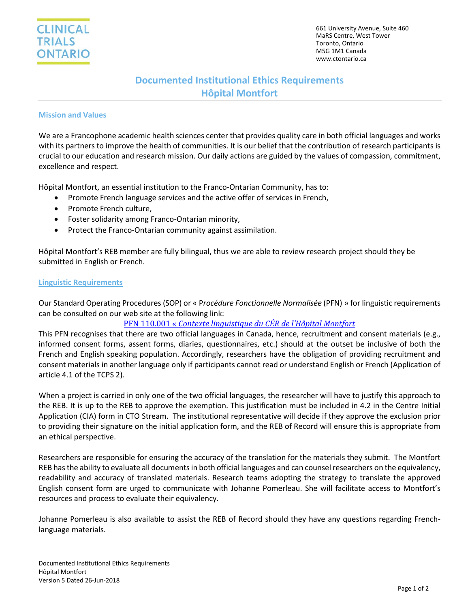# **Documented Institutional Ethics Requirements Hôpital Montfort**

#### **Mission and Values**

We are a Francophone academic health sciences center that provides quality care in both official languages and works with its partners to improve the health of communities. It is our belief that the contribution of research participants is crucial to our education and research mission. Our daily actions are guided by the values of compassion, commitment, excellence and respect.

Hôpital Montfort, an essential institution to the Franco-Ontarian Community, has to:

- Promote French language services and the active offer of services in French,
- Promote French culture,
- Foster solidarity among Franco-Ontarian minority,
- Protect the Franco-Ontarian community against assimilation.

Hôpital Montfort's REB member are fully bilingual, thus we are able to review research project should they be submitted in English or French.

#### **Linguistic Requirements**

Our Standard Operating Procedures (SOP) or « P*rocédure Fonctionnelle Normalisée* (PFN) » for linguistic requirements can be consulted on our web site at the following link:

# PFN 110.001 « *[Contexte linguistique du CÉR de l'Hôpital Montfort](http://www.hopitalmontfort.com/sites/default/files/PDF/pfn_110.001_contexte_linguistique_cer_montfort.pdf)*

This PFN recognises that there are two official languages in Canada, hence, recruitment and consent materials (e.g., informed consent forms, assent forms, diaries, questionnaires, etc.) should at the outset be inclusive of both the French and English speaking population. Accordingly, researchers have the obligation of providing recruitment and consent materials in another language only if participants cannot read or understand English or French (Application of article 4.1 of the TCPS 2).

When a project is carried in only one of the two official languages, the researcher will have to justify this approach to the REB. It is up to the REB to approve the exemption. This justification must be included in 4.2 in the Centre Initial Application (CIA) form in CTO Stream. The institutional representative will decide if they approve the exclusion prior to providing their signature on the initial application form, and the REB of Record will ensure this is appropriate from an ethical perspective.

Researchers are responsible for ensuring the accuracy of the translation for the materials they submit. The Montfort REB has the ability to evaluate all documents in both official languages and can counsel researchers on the equivalency, readability and accuracy of translated materials. Research teams adopting the strategy to translate the approved English consent form are urged to communicate with Johanne Pomerleau. She will facilitate access to Montfort's resources and process to evaluate their equivalency.

Johanne Pomerleau is also available to assist the REB of Record should they have any questions regarding Frenchlanguage materials.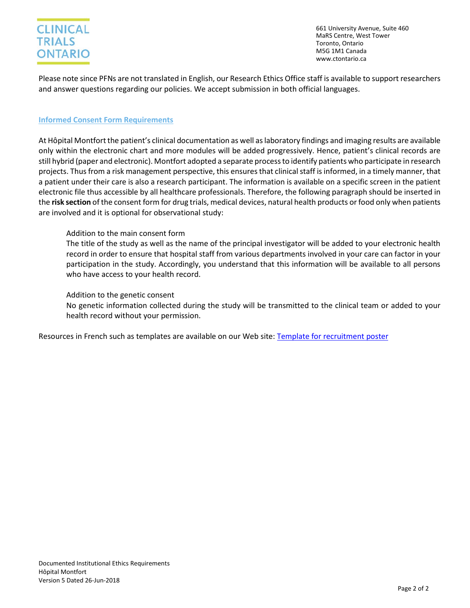# **CLINICAL TRIALS ONTARIO**

661 University Avenue, Suite 460 MaRS Centre, West Tower Toronto, Ontario M5G 1M1 Canada www.ctontario.ca

Please note since PFNs are not translated in English, our Research Ethics Office staff is available to support researchers and answer questions regarding our policies. We accept submission in both official languages.

# **Informed Consent Form Requirements**

At Hôpital Montfort the patient's clinical documentation as well as laboratory findings and imaging results are available only within the electronic chart and more modules will be added progressively. Hence, patient's clinical records are still hybrid (paper and electronic). Montfort adopted a separate process to identify patients who participate in research projects. Thus from a risk management perspective, this ensuresthat clinical staff is informed, in a timely manner, that a patient under their care is also a research participant. The information is available on a specific screen in the patient electronic file thus accessible by all healthcare professionals. Therefore, the following paragraph should be inserted in the **risk section** of the consent form for drug trials, medical devices, natural health products or food only when patients are involved and it is optional for observational study:

# Addition to the main consent form

The title of the study as well as the name of the principal investigator will be added to your electronic health record in order to ensure that hospital staff from various departments involved in your care can factor in your participation in the study. Accordingly, you understand that this information will be available to all persons who have access to your health record.

#### Addition to the genetic consent

No genetic information collected during the study will be transmitted to the clinical team or added to your health record without your permission.

Resources in French such as templates are available on our Web site: [Template for recruitment poster](https://hopitalmontfort.com/en/recruitment-tools)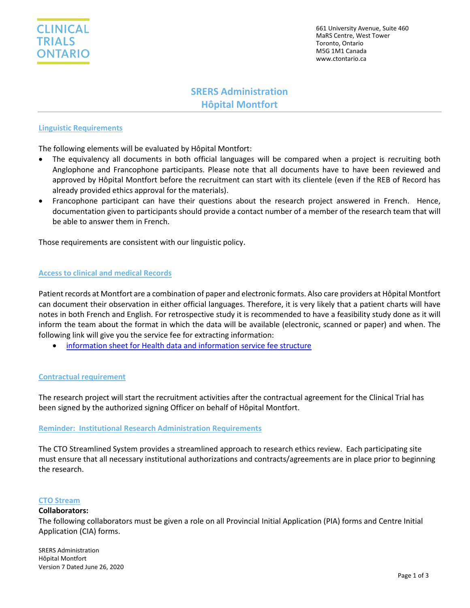

661 University Avenue, Suite 460 MaRS Centre, West Tower Toronto, Ontario M5G 1M1 Canada www.ctontario.ca

# **SRERS Administration Hôpital Montfort**

# **Linguistic Requirements**

The following elements will be evaluated by Hôpital Montfort:

- The equivalency all documents in both official languages will be compared when a project is recruiting both Anglophone and Francophone participants. Please note that all documents have to have been reviewed and approved by Hôpital Montfort before the recruitment can start with its clientele (even if the REB of Record has already provided ethics approval for the materials).
- Francophone participant can have their questions about the research project answered in French. Hence, documentation given to participants should provide a contact number of a member of the research team that will be able to answer them in French.

Those requirements are consistent with our linguistic policy.

#### **Access to clinical and medical Records**

Patient records at Montfort are a combination of paper and electronic formats. Also care providers at Hôpital Montfort can document their observation in either official languages. Therefore, it is very likely that a patient charts will have notes in both French and English. For retrospective study it is recommended to have a feasibility study done as it will inform the team about the format in which the data will be available (electronic, scanned or paper) and when. The following link will give you the service fee for extracting information:

• [information sheet for Health data and information service fee structure](https://hopitalmontfort.com/en/access-information-and-privacy-protection)

# **Contractual requirement**

The research project will start the recruitment activities after the contractual agreement for the Clinical Trial has been signed by the authorized signing Officer on behalf of Hôpital Montfort.

#### **Reminder: Institutional Research Administration Requirements**

The CTO Streamlined System provides a streamlined approach to research ethics review. Each participating site must ensure that all necessary institutional authorizations and contracts/agreements are in place prior to beginning the research.

#### **CTO Stream**

#### **Collaborators:**

The following collaborators must be given a role on all Provincial Initial Application (PIA) forms and Centre Initial Application (CIA) forms.

SRERS Administration Hôpital Montfort Version 7 Dated June 26, 2020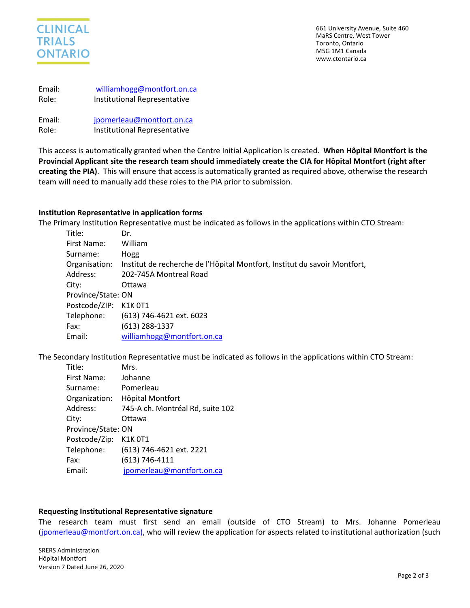

661 University Avenue, Suite 460 MaRS Centre, West Tower Toronto, Ontario M5G 1M1 Canada www.ctontario.ca

| Email: | williamhogg@montfort.on.ca   |
|--------|------------------------------|
| Role:  | Institutional Representative |

Email: [jpomerleau@montfort.on.ca](mailto:jpomerleau@montfort.on.ca) Role: Institutional Representative

This access is automatically granted when the Centre Initial Application is created. **When Hôpital Montfort is the Provincial Applicant site the research team should immediately create the CIA for Hôpital Montfort (right after creating the PIA)**. This will ensure that access is automatically granted as required above, otherwise the research team will need to manually add these roles to the PIA prior to submission.

# **Institution Representative in application forms**

The Primary Institution Representative must be indicated as follows in the applications within CTO Stream:

| Title:                | Dr.                                                                                     |
|-----------------------|-----------------------------------------------------------------------------------------|
| First Name:           | William                                                                                 |
| Surname:              | Hogg                                                                                    |
|                       | Organisation: Institut de recherche de l'Hôpital Montfort, Institut du savoir Montfort, |
| Address:              | 202-745A Montreal Road                                                                  |
| City:                 | Ottawa                                                                                  |
| Province/State: ON    |                                                                                         |
| Postcode/ZIP: K1K 0T1 |                                                                                         |
|                       | Telephone: (613) 746-4621 ext. 6023                                                     |
| Fax:                  | $(613)$ 288-1337                                                                        |
| Email:                | williamhogg@montfort.on.ca                                                              |

The Secondary Institution Representative must be indicated as follows in the applications within CTO Stream:

| Title:             | Mrs.                             |
|--------------------|----------------------------------|
| First Name:        | Johanne                          |
| Surname:           | Pomerleau                        |
| Organization:      | Hôpital Montfort                 |
| Address:           | 745-A ch. Montréal Rd, suite 102 |
| City:              | Ottawa                           |
| Province/State: ON |                                  |
| Postcode/Zip:      | K1K 0T1                          |
| Telephone:         | (613) 746-4621 ext. 2221         |
| Fax:               | (613) 746-4111                   |
| Email:             | jpomerleau@montfort.on.ca        |

# **Requesting Institutional Representative signature**

The research team must first send an email (outside of CTO Stream) to Mrs. Johanne Pomerleau [\(jpomerleau@montfort.on.ca\)](mailto:jpomerleau@montfort.on.ca), who will review the application for aspects related to institutional authorization (such

SRERS Administration Hôpital Montfort Version 7 Dated June 26, 2020